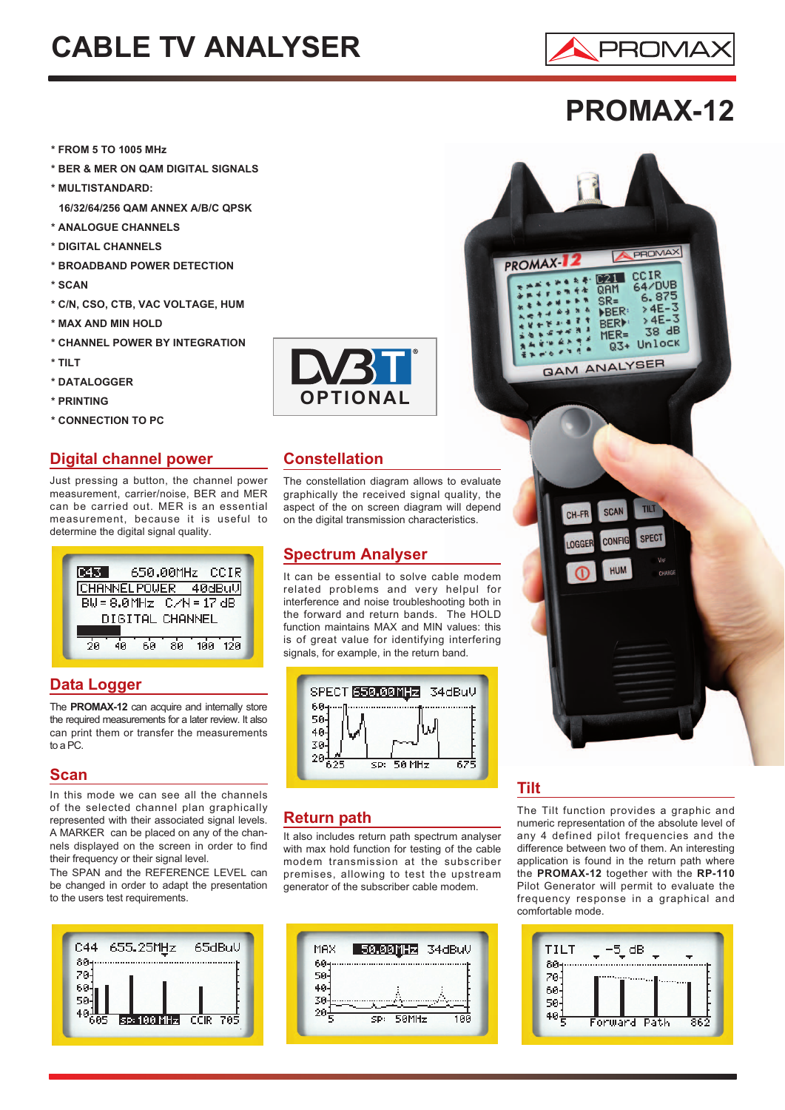# **CABLE TV ANALYSER**



### **PROMAX-12**

- **\* FROM 5 TO 1005 MHz**
- **\* BER & MER ON QAM DIGITAL SIGNALS**
- **\* MULTISTANDARD:**
- **16/32/64/256 QAM ANNEX A/B/C QPSK**
- **\* ANALOGUE CHANNELS**
- **\* DIGITAL CHANNELS**
- **\* BROADBAND POWER DETECTION**
- **\* SCAN**
- **\* C/N, CSO, CTB, VAC VOLTAGE, HUM**
- **\* MAX AND MIN HOLD**
- **\* CHANNEL POWER BY INTEGRATION**
- **\* TILT**
- **\* DATALOGGER**
- **\* PRINTING**
- **\* CONNECTION TO PC**

#### **Digital channel power**

Just pressing a button, the channel power measurement, carrier/noise, BER and MER can be carried out. MER is an essential measurement, because it is useful to determine the digital signal quality.



#### **Data Logger**

The **PROMAX-12** can acquire and internally store the required measurements for a later review. It also can print them or transfer the measurements to a PC.

#### **Scan**

In this mode we can see all the channels of the selected channel plan graphically represented with their associated signal levels. A MARKER can be placed on any of the channels displayed on the screen in order to find their frequency or their signal level.

The SPAN and the REFERENCE LEVEL can be changed in order to adapt the presentation to the users test requirements.





#### **Constellation**

The constellation diagram allows to evaluate graphically the received signal quality, the aspect of the on screen diagram will depend on the digital transmission characteristics.

#### **Spectrum Analyser**

It can be essential to solve cable modem related problems and very helpul for interference and noise troubleshooting both in the forward and return bands. The HOLD function maintains MAX and MIN values: this is of great value for identifying interfering signals, for example, in the return band.



#### **Return path**

It also includes return path spectrum analyser with max hold function for testing of the cable modem transmission at the subscriber premises, allowing to test the upstream generator of the subscriber cable modem.





#### **Tilt**

The Tilt function provides a graphic and numeric representation of the absolute level of any 4 defined pilot frequencies and the difference between two of them. An interesting application is found in the return path where the **PROMAX-12** together with the **RP-110** Pilot Generator will permit to evaluate the frequency response in a graphical and comfortable mode.